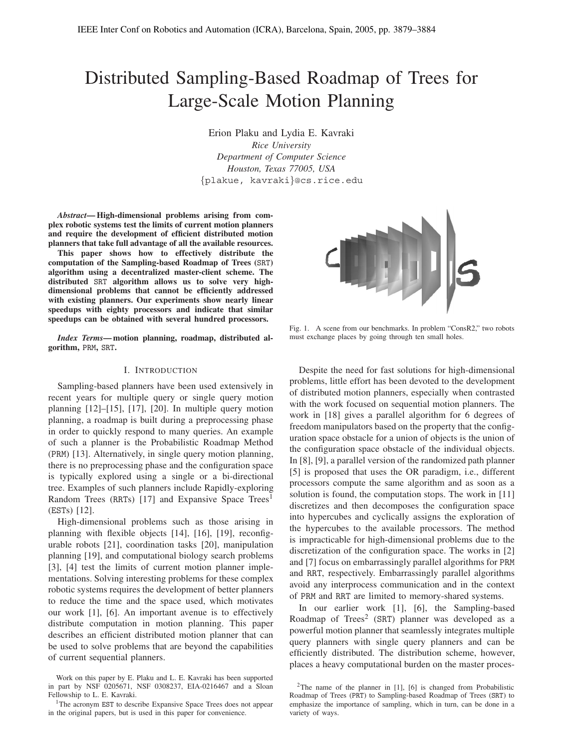# Distributed Sampling-Based Roadmap of Trees for Large-Scale Motion Planning

Erion Plaku and Lydia E. Kavraki *Rice University Department of Computer Science Houston, Texas 77005, USA* {plakue, kavraki}@cs.rice.edu

*Abstract***— High-dimensional problems arising from complex robotic systems test the limits of current motion planners and require the development of efficient distributed motion planners that take full advantage of all the available resources.**

**This paper shows how to effectively distribute the computation of the Sampling-based Roadmap of Trees (**SRT**) algorithm using a decentralized master-client scheme. The distributed** SRT **algorithm allows us to solve very highdimensional problems that cannot be efficiently addressed with existing planners. Our experiments show nearly linear speedups with eighty processors and indicate that similar speedups can be obtained with several hundred processors.**

*Index Terms***— motion planning, roadmap, distributed algorithm,** PRM**,** SRT**.**

# I. INTRODUCTION

Sampling-based planners have been used extensively in recent years for multiple query or single query motion planning [12]–[15], [17], [20]. In multiple query motion planning, a roadmap is built during a preprocessing phase in order to quickly respond to many queries. An example of such a planner is the Probabilistic Roadmap Method (PRM) [13]. Alternatively, in single query motion planning, there is no preprocessing phase and the configuration space is typically explored using a single or a bi-directional tree. Examples of such planners include Rapidly-exploring Random Trees (RRTs) [17] and Expansive Space Trees<sup>1</sup> (ESTs) [12].

High-dimensional problems such as those arising in planning with flexible objects [14], [16], [19], reconfigurable robots [21], coordination tasks [20], manipulation planning [19], and computational biology search problems [3], [4] test the limits of current motion planner implementations. Solving interesting problems for these complex robotic systems requires the development of better planners to reduce the time and the space used, which motivates our work [1], [6]. An important avenue is to effectively distribute computation in motion planning. This paper describes an efficient distributed motion planner that can be used to solve problems that are beyond the capabilities of current sequential planners.



Fig. 1. A scene from our benchmarks. In problem "ConsR2," two robots must exchange places by going through ten small holes.

Despite the need for fast solutions for high-dimensional problems, little effort has been devoted to the development of distributed motion planners, especially when contrasted with the work focused on sequential motion planners. The work in [18] gives a parallel algorithm for 6 degrees of freedom manipulators based on the property that the configuration space obstacle for a union of objects is the union of the configuration space obstacle of the individual objects. In [8], [9], a parallel version of the randomized path planner [5] is proposed that uses the OR paradigm, i.e., different processors compute the same algorithm and as soon as a solution is found, the computation stops. The work in [11] discretizes and then decomposes the configuration space into hypercubes and cyclically assigns the exploration of the hypercubes to the available processors. The method is impracticable for high-dimensional problems due to the discretization of the configuration space. The works in [2] and [7] focus on embarrassingly parallel algorithms for PRM and RRT, respectively. Embarrassingly parallel algorithms avoid any interprocess communication and in the context of PRM and RRT are limited to memory-shared systems.

In our earlier work [1], [6], the Sampling-based Roadmap of  $Trees^2$  (SRT) planner was developed as a powerful motion planner that seamlessly integrates multiple query planners with single query planners and can be efficiently distributed. The distribution scheme, however, places a heavy computational burden on the master proces-

Work on this paper by E. Plaku and L. E. Kavraki has been supported in part by NSF 0205671, NSF 0308237, EIA-0216467 and a Sloan Fellowship to L. E. Kavraki.

<sup>&</sup>lt;sup>1</sup>The acronym EST to describe Expansive Space Trees does not appear in the original papers, but is used in this paper for convenience.

<sup>&</sup>lt;sup>2</sup>The name of the planner in  $[1]$ ,  $[6]$  is changed from Probabilistic Roadmap of Trees (PRT) to Sampling-based Roadmap of Trees (SRT) to emphasize the importance of sampling, which in turn, can be done in a variety of ways.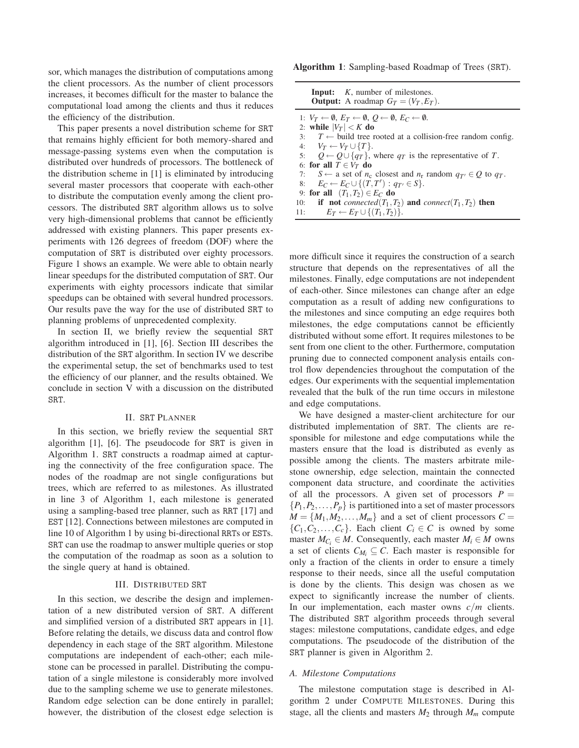sor, which manages the distribution of computations among the client processors. As the number of client processors increases, it becomes difficult for the master to balance the computational load among the clients and thus it reduces the efficiency of the distribution.

This paper presents a novel distribution scheme for SRT that remains highly efficient for both memory-shared and message-passing systems even when the computation is distributed over hundreds of processors. The bottleneck of the distribution scheme in [1] is eliminated by introducing several master processors that cooperate with each-other to distribute the computation evenly among the client processors. The distributed SRT algorithm allows us to solve very high-dimensional problems that cannot be efficiently addressed with existing planners. This paper presents experiments with 126 degrees of freedom (DOF) where the computation of SRT is distributed over eighty processors. Figure 1 shows an example. We were able to obtain nearly linear speedups for the distributed computation of SRT. Our experiments with eighty processors indicate that similar speedups can be obtained with several hundred processors. Our results pave the way for the use of distributed SRT to planning problems of unprecedented complexity.

In section II, we briefly review the sequential SRT algorithm introduced in [1], [6]. Section III describes the distribution of the SRT algorithm. In section IV we describe the experimental setup, the set of benchmarks used to test the efficiency of our planner, and the results obtained. We conclude in section V with a discussion on the distributed SRT.

# II. SRT PLANNER

In this section, we briefly review the sequential SRT algorithm [1], [6]. The pseudocode for SRT is given in Algorithm 1. SRT constructs a roadmap aimed at capturing the connectivity of the free configuration space. The nodes of the roadmap are not single configurations but trees, which are referred to as milestones. As illustrated in line 3 of Algorithm 1, each milestone is generated using a sampling-based tree planner, such as RRT [17] and EST [12]. Connections between milestones are computed in line 10 of Algorithm 1 by using bi-directional RRTs or ESTs. SRT can use the roadmap to answer multiple queries or stop the computation of the roadmap as soon as a solution to the single query at hand is obtained.

#### III. DISTRIBUTED SRT

In this section, we describe the design and implementation of a new distributed version of SRT. A different and simplified version of a distributed SRT appears in [1]. Before relating the details, we discuss data and control flow dependency in each stage of the SRT algorithm. Milestone computations are independent of each-other; each milestone can be processed in parallel. Distributing the computation of a single milestone is considerably more involved due to the sampling scheme we use to generate milestones. Random edge selection can be done entirely in parallel; however, the distribution of the closest edge selection is

**Algorithm 1**: Sampling-based Roadmap of Trees (SRT).

| <b>Input:</b> K, number of milestones.<br><b>Output:</b> A roadmap $G_T = (V_T, E_T)$ .                              |
|----------------------------------------------------------------------------------------------------------------------|
| 1: $V_T \leftarrow \emptyset$ , $E_T \leftarrow \emptyset$ , $O \leftarrow \emptyset$ , $E_C \leftarrow \emptyset$ . |
| 2: while $ V_T  < K$ do                                                                                              |
| 3: $T \leftarrow$ build tree rooted at a collision-free random config.                                               |
| 4: $V_T \leftarrow V_T \cup \{T\}.$                                                                                  |
| 5: $Q \leftarrow Q \cup \{q_T\}$ , where $q_T$ is the representative of T.                                           |
| 6: for all $T \in V_T$ do                                                                                            |
| 7: $S \leftarrow$ a set of $n_c$ closest and $n_r$ random $q_{T'} \in Q$ to $q_T$ .                                  |
| 8: $E_C \leftarrow E_C \cup \{(T, T'): q_{T'} \in S\}.$                                                              |
| 9: for all $(T_1,T_2) \in E_C$ do                                                                                    |
| 10: if not connected( $T_1, T_2$ ) and connect( $T_1, T_2$ ) then                                                    |
| 11: $E_T \leftarrow E_T \cup \{(T_1, T_2)\}.$                                                                        |

more difficult since it requires the construction of a search structure that depends on the representatives of all the milestones. Finally, edge computations are not independent of each-other. Since milestones can change after an edge computation as a result of adding new configurations to the milestones and since computing an edge requires both milestones, the edge computations cannot be efficiently distributed without some effort. It requires milestones to be sent from one client to the other. Furthermore, computation pruning due to connected component analysis entails control flow dependencies throughout the computation of the edges. Our experiments with the sequential implementation revealed that the bulk of the run time occurs in milestone and edge computations.

We have designed a master-client architecture for our distributed implementation of SRT. The clients are responsible for milestone and edge computations while the masters ensure that the load is distributed as evenly as possible among the clients. The masters arbitrate milestone ownership, edge selection, maintain the connected component data structure, and coordinate the activities of all the processors. A given set of processors  $P =$  $\{P_1, P_2, \ldots, P_n\}$  is partitioned into a set of master processors  $M = \{M_1, M_2, \ldots, M_m\}$  and a set of client processors  $C =$  $\{C_1, C_2, \ldots, C_c\}$ . Each client  $C_i \in \mathbb{C}$  is owned by some master  $M_{C_i} \in M$ . Consequently, each master  $M_i \in M$  owns a set of clients  $C_{M_i} \subseteq C$ . Each master is responsible for only a fraction of the clients in order to ensure a timely response to their needs, since all the useful computation is done by the clients. This design was chosen as we expect to significantly increase the number of clients. In our implementation, each master owns *c*/*m* clients. The distributed SRT algorithm proceeds through several stages: milestone computations, candidate edges, and edge computations. The pseudocode of the distribution of the SRT planner is given in Algorithm 2.

#### *A. Milestone Computations*

The milestone computation stage is described in Algorithm 2 under COMPUTE MILESTONES. During this stage, all the clients and masters  $M_2$  through  $M_m$  compute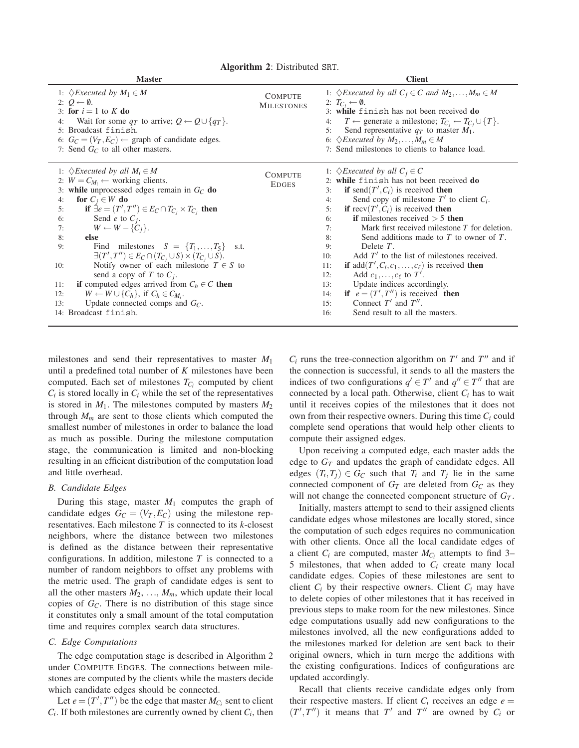**Algorithm 2**: Distributed SRT.

| <b>Master</b>                                                                                                                                                                                                                                                                                                                                                                                                                                                                                                                                                                                                                                                                                                                                                                              | <b>Client</b>                       |                                                                                                                                                                                                                                                                                                                                                                                                                                                                                                                                                                                                                                                                                                                                                                       |  |
|--------------------------------------------------------------------------------------------------------------------------------------------------------------------------------------------------------------------------------------------------------------------------------------------------------------------------------------------------------------------------------------------------------------------------------------------------------------------------------------------------------------------------------------------------------------------------------------------------------------------------------------------------------------------------------------------------------------------------------------------------------------------------------------------|-------------------------------------|-----------------------------------------------------------------------------------------------------------------------------------------------------------------------------------------------------------------------------------------------------------------------------------------------------------------------------------------------------------------------------------------------------------------------------------------------------------------------------------------------------------------------------------------------------------------------------------------------------------------------------------------------------------------------------------------------------------------------------------------------------------------------|--|
| 1: $\Diamond$ <i>Executed by</i> $M_1 \in M$<br>2: $Q \leftarrow \emptyset$ .<br>3: for $i = 1$ to K do<br>Wait for some $q_T$ to arrive; $Q \leftarrow Q \cup \{q_T\}$ .<br>4:<br>5: Broadcast finish.<br>6: $G_C = (V_T, E_C) \leftarrow$ graph of candidate edges.<br>7: Send $G_C$ to all other masters.                                                                                                                                                                                                                                                                                                                                                                                                                                                                               | <b>COMPUTE</b><br><b>MILESTONES</b> | 1: $\Diamond$ Executed by all $C_i \in C$ and $M_2, \ldots, M_m \in M$<br>2: $T_{C_i} \leftarrow \emptyset$ .<br>3: while finish has not been received do<br>$T \leftarrow$ generate a milestone; $T_{C_i} \leftarrow T_{C_i} \cup \{T\}.$<br>4:<br>Send representative $q_T$ to master $M_1$ .<br>5:<br>6: $\Diamond$ <i>Executed by M</i> <sub>2</sub> ,, <i>M</i> <sub><i>m</i></sub> $\in$ <i>M</i><br>7: Send milestones to clients to balance load.                                                                                                                                                                                                                                                                                                             |  |
| 1: $\Diamond$ <i>Executed by all M<sub>i</sub></i> $\in$ <i>M</i><br>2: $W = C_{M_i} \leftarrow$ working clients.<br>3: while unprocessed edges remain in $G_C$ do<br>for $C_i \in W$ do<br>4:<br>if $\exists e = (T', T'') \in E_C \cap T_{C_i} \times T_{C_i}$ then<br>5:<br>6:<br>Send <i>e</i> to $C_i$ .<br>$W \leftarrow W - \{C_i\}.$<br>7:<br>else<br>8:<br>Find milestones $S = \{T_1, \ldots, T_5\}$<br>9:<br>s.t.<br>$\exists (T',T'')\in E_C\cap (T_{C_i}\cup S)\times (T_{C_i}\cup S).$<br>Notify owner of each milestone $T \in S$ to<br>10:<br>send a copy of T to $C_i$ .<br>if computed edges arrived from $C_h \in C$ then<br>11:<br>$W \leftarrow W \cup \{C_h\}$ , if $C_h \in C_{M_i}$ .<br>12:<br>Update connected comps and $G_C$ .<br>13:<br>14: Broadcast finish. | <b>COMPUTE</b><br><b>EDGES</b>      | 1: $\Diamond$ <i>Executed by all</i> $C_i \in C$<br>2: while finish has not been received do<br>if send $(T', C_i)$ is received then<br>3:<br>Send copy of milestone $T'$ to client $C_i$ .<br>4:<br>if recv $(T', C_i)$ is received then<br>5:<br>if milestones received $>$ 5 then<br>6:<br>Mark first received milestone T for deletion.<br>7:<br>Send additions made to $T$ to owner of $T$ .<br>8:<br>Delete $T$ .<br>9:<br>Add $T'$ to the list of milestones received.<br>10:<br>if $add(T', C_i, c_1, \ldots, c_\ell)$ is received then<br>11:<br>Add $c_1, \ldots, c_\ell$ to $T'$ .<br>12:<br>Update indices accordingly.<br>13:<br>if $e = (T', T'')$ is received then<br>14:<br>Connect $T'$ and $T''$ .<br>15:<br>Send result to all the masters.<br>16: |  |

milestones and send their representatives to master *M*<sup>1</sup> until a predefined total number of *K* milestones have been computed. Each set of milestones  $T_{C_i}$  computed by client  $C_i$  is stored locally in  $C_i$  while the set of the representatives is stored in  $M_1$ . The milestones computed by masters  $M_2$ through  $M_m$  are sent to those clients which computed the smallest number of milestones in order to balance the load as much as possible. During the milestone computation stage, the communication is limited and non-blocking resulting in an efficient distribution of the computation load and little overhead.

#### *B. Candidate Edges*

During this stage, master  $M_1$  computes the graph of candidate edges  $G_C = (V_T, E_C)$  using the milestone representatives. Each milestone *T* is connected to its *k*-closest neighbors, where the distance between two milestones is defined as the distance between their representative configurations. In addition, milestone *T* is connected to a number of random neighbors to offset any problems with the metric used. The graph of candidate edges is sent to all the other masters  $M_2, \ldots, M_m$ , which update their local copies of *GC*. There is no distribution of this stage since it constitutes only a small amount of the total computation time and requires complex search data structures.

## *C. Edge Computations*

The edge computation stage is described in Algorithm 2 under COMPUTE EDGES. The connections between milestones are computed by the clients while the masters decide which candidate edges should be connected.

Let  $e = (T', T'')$  be the edge that master  $M_{C_i}$  sent to client  $C_i$ . If both milestones are currently owned by client  $C_i$ , then  $C_i$  runs the tree-connection algorithm on  $T'$  and  $T''$  and if the connection is successful, it sends to all the masters the indices of two configurations  $q' \in T'$  and  $q'' \in T''$  that are connected by a local path. Otherwise, client *Ci* has to wait until it receives copies of the milestones that it does not own from their respective owners. During this time *Ci* could complete send operations that would help other clients to compute their assigned edges.

Upon receiving a computed edge, each master adds the edge to  $G_T$  and updates the graph of candidate edges. All edges  $(T_i, T_j) \in G_C$  such that  $T_i$  and  $T_j$  lie in the same connected component of  $G_T$  are deleted from  $G_C$  as they will not change the connected component structure of *GT* .

Initially, masters attempt to send to their assigned clients candidate edges whose milestones are locally stored, since the computation of such edges requires no communication with other clients. Once all the local candidate edges of a client  $C_i$  are computed, master  $M_{C_i}$  attempts to find 3– 5 milestones, that when added to *Ci* create many local candidate edges. Copies of these milestones are sent to client  $C_i$  by their respective owners. Client  $C_i$  may have to delete copies of other milestones that it has received in previous steps to make room for the new milestones. Since edge computations usually add new configurations to the milestones involved, all the new configurations added to the milestones marked for deletion are sent back to their original owners, which in turn merge the additions with the existing configurations. Indices of configurations are updated accordingly.

Recall that clients receive candidate edges only from their respective masters. If client  $C_i$  receives an edge  $e =$  $(T', T'')$  it means that  $T'$  and  $T''$  are owned by  $C_i$  or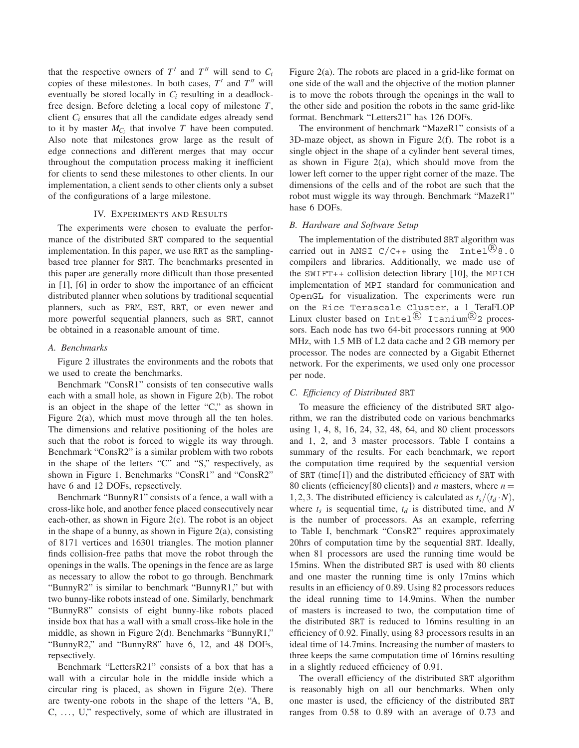that the respective owners of  $T'$  and  $T''$  will send to  $C_i$ copies of these milestones. In both cases,  $T'$  and  $T''$  will eventually be stored locally in *Ci* resulting in a deadlockfree design. Before deleting a local copy of milestone *T*, client *Ci* ensures that all the candidate edges already send to it by master  $M_{C_i}$  that involve  $T$  have been computed. Also note that milestones grow large as the result of edge connections and different merges that may occur throughout the computation process making it inefficient for clients to send these milestones to other clients. In our implementation, a client sends to other clients only a subset of the configurations of a large milestone.

## IV. EXPERIMENTS AND RESULTS

The experiments were chosen to evaluate the performance of the distributed SRT compared to the sequential implementation. In this paper, we use RRT as the samplingbased tree planner for SRT. The benchmarks presented in this paper are generally more difficult than those presented in [1], [6] in order to show the importance of an efficient distributed planner when solutions by traditional sequential planners, such as PRM, EST, RRT, or even newer and more powerful sequential planners, such as SRT, cannot be obtained in a reasonable amount of time.

# *A. Benchmarks*

Figure 2 illustrates the environments and the robots that we used to create the benchmarks.

Benchmark "ConsR1" consists of ten consecutive walls each with a small hole, as shown in Figure 2(b). The robot is an object in the shape of the letter "C," as shown in Figure 2(a), which must move through all the ten holes. The dimensions and relative positioning of the holes are such that the robot is forced to wiggle its way through. Benchmark "ConsR2" is a similar problem with two robots in the shape of the letters "C" and "S," respectively, as shown in Figure 1. Benchmarks "ConsR1" and "ConsR2" have 6 and 12 DOFs, repsectively.

Benchmark "BunnyR1" consists of a fence, a wall with a cross-like hole, and another fence placed consecutively near each-other, as shown in Figure 2(c). The robot is an object in the shape of a bunny, as shown in Figure  $2(a)$ , consisting of 8171 vertices and 16301 triangles. The motion planner finds collision-free paths that move the robot through the openings in the walls. The openings in the fence are as large as necessary to allow the robot to go through. Benchmark "BunnyR2" is similar to benchmark "BunnyR1," but with two bunny-like robots instead of one. Similarly, benchmark "BunnyR8" consists of eight bunny-like robots placed inside box that has a wall with a small cross-like hole in the middle, as shown in Figure 2(d). Benchmarks "BunnyR1," "BunnyR2," and "BunnyR8" have 6, 12, and 48 DOFs, repsectively.

Benchmark "LettersR21" consists of a box that has a wall with a circular hole in the middle inside which a circular ring is placed, as shown in Figure 2(e). There are twenty-one robots in the shape of the letters "A, B, C, ..., U," respectively, some of which are illustrated in Figure 2(a). The robots are placed in a grid-like format on one side of the wall and the objective of the motion planner is to move the robots through the openings in the wall to the other side and position the robots in the same grid-like format. Benchmark "Letters21" has 126 DOFs.

The environment of benchmark "MazeR1" consists of a 3D-maze object, as shown in Figure 2(f). The robot is a single object in the shape of a cylinder bent several times, as shown in Figure  $2(a)$ , which should move from the lower left corner to the upper right corner of the maze. The dimensions of the cells and of the robot are such that the robot must wiggle its way through. Benchmark "MazeR1" hase 6 DOFs.

# *B. Hardware and Software Setup*

The implementation of the distributed SRT algorithm was carried out in ANSI  $C/C++$  using the Intel<sup>(R)</sup>8.0 compilers and libraries. Additionally, we made use of the SWIFT++ collision detection library [10], the MPICH implementation of MPI standard for communication and OpenGL for visualization. The experiments were run on the Rice Terascale Cluster, a 1 TeraFLOP Linux cluster based on Intel  $\mathbb{R}$  Itanium  $\mathbb{R}_2$  processors. Each node has two 64-bit processors running at 900 MHz, with 1.5 MB of L2 data cache and 2 GB memory per processor. The nodes are connected by a Gigabit Ethernet network. For the experiments, we used only one processor per node.

#### *C. Efficiency of Distributed* SRT

To measure the efficiency of the distributed SRT algorithm, we ran the distributed code on various benchmarks using 1, 4, 8, 16, 24, 32, 48, 64, and 80 client processors and 1, 2, and 3 master processors. Table I contains a summary of the results. For each benchmark, we report the computation time required by the sequential version of SRT (time[1]) and the distributed efficiency of SRT with 80 clients (efficiency[80 clients]) and *n* masters, where *n* = 1, 2, 3. The distributed efficiency is calculated as  $t_s/(t_d \cdot N)$ , where  $t_s$  is sequential time,  $t_d$  is distributed time, and N is the number of processors. As an example, referring to Table I, benchmark "ConsR2" requires approximately 20hrs of computation time by the sequential SRT. Ideally, when 81 processors are used the running time would be 15mins. When the distributed SRT is used with 80 clients and one master the running time is only 17mins which results in an efficiency of 0.89. Using 82 processors reduces the ideal running time to 14.9mins. When the number of masters is increased to two, the computation time of the distributed SRT is reduced to 16mins resulting in an efficiency of 0.92. Finally, using 83 processors results in an ideal time of 14.7mins. Increasing the number of masters to three keeps the same computation time of 16mins resulting in a slightly reduced efficiency of 0.91.

The overall efficiency of the distributed SRT algorithm is reasonably high on all our benchmarks. When only one master is used, the efficiency of the distributed SRT ranges from 0.58 to 0.89 with an average of 0.73 and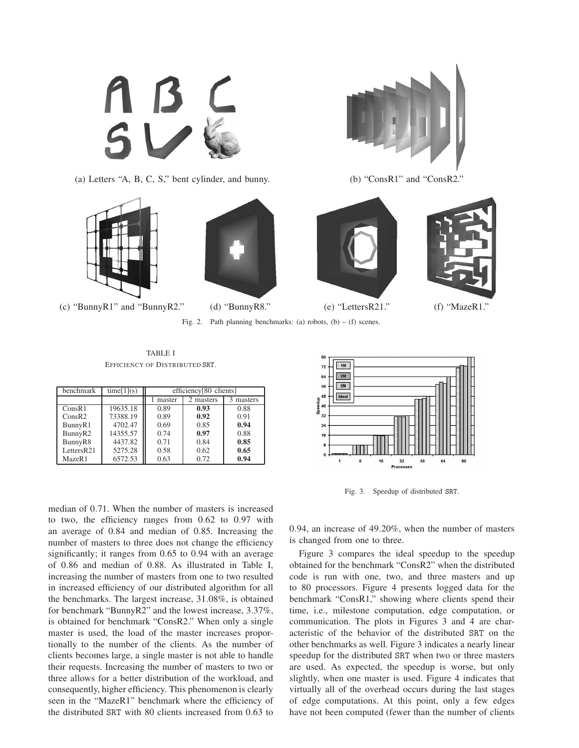

(a) Letters "A, B, C, S," bent cylinder, and bunny. (b) "ConsR1" and "ConsR2."







Fig. 2. Path planning benchmarks: (a) robots,  $(b) - (f)$  scenes.



TABLE I EFFICIENCY OF DISTRIBUTED SRT.

| <b>benchmark</b>    | time[1](s) | efficiency <sup>[80</sup> clients] |           |         |
|---------------------|------------|------------------------------------|-----------|---------|
|                     |            | master                             | 2 masters | masters |
| ConsR1              | 19635.18   | 0.89                               | 0.93      | 0.88    |
| ConsR2              | 73388.19   | 0.89                               | 0.92      | 0.91    |
| BunnyR1             | 4702.47    | 0.69                               | 0.85      | 0.94    |
| BunnyR <sub>2</sub> | 14355.57   | 0.74                               | 0.97      | 0.88    |
| BunnyR8             | 4437.82    | 0.71                               | 0.84      | 0.85    |
| LettersR21          | 5275.28    | 0.58                               | 0.62      | 0.65    |
| MazeR1              | 6572.53    | 0.63                               | 0.72      | 0.94    |

median of 0.71. When the number of masters is increased to two, the efficiency ranges from 0.62 to 0.97 with an average of 0.84 and median of 0.85. Increasing the number of masters to three does not change the efficiency significantly; it ranges from 0.65 to 0.94 with an average of 0.86 and median of 0.88. As illustrated in Table I, increasing the number of masters from one to two resulted in increased efficiency of our distributed algorithm for all the benchmarks. The largest increase, 31.08%, is obtained for benchmark "BunnyR2" and the lowest increase, 3.37%, is obtained for benchmark "ConsR2." When only a single master is used, the load of the master increases proportionally to the number of the clients. As the number of clients becomes large, a single master is not able to handle their requests. Increasing the number of masters to two or three allows for a better distribution of the workload, and consequently, higher efficiency. This phenomenon is clearly seen in the "MazeR1" benchmark where the efficiency of the distributed SRT with 80 clients increased from 0.63 to



Fig. 3. Speedup of distributed SRT.

0.94, an increase of 49.20%, when the number of masters is changed from one to three.

Figure 3 compares the ideal speedup to the speedup obtained for the benchmark "ConsR2" when the distributed code is run with one, two, and three masters and up to 80 processors. Figure 4 presents logged data for the benchmark "ConsR1," showing where clients spend their time, i.e., milestone computation, edge computation, or communication. The plots in Figures 3 and 4 are characteristic of the behavior of the distributed SRT on the other benchmarks as well. Figure 3 indicates a nearly linear speedup for the distributed SRT when two or three masters are used. As expected, the speedup is worse, but only slightly, when one master is used. Figure 4 indicates that virtually all of the overhead occurs during the last stages of edge computations. At this point, only a few edges have not been computed (fewer than the number of clients